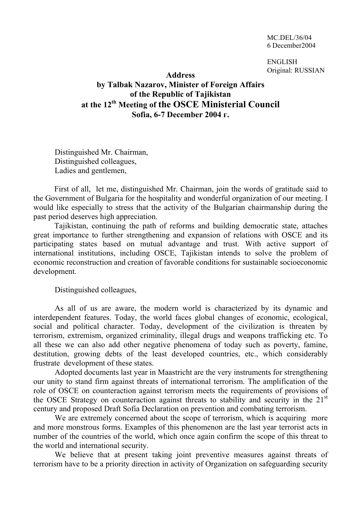MC.DEL/36/04 6 December2004

ENGLISH Original: RUSSIAN

## **Address by Talbak Nazarov, Minister of Foreign Affairs of the Republic of Tajikistan at the 12th Meeting of the OSCE Ministerial Council Sofia, 6-7 December 2004 г.**

Distinguished Mr. Chairman, Distinguished colleagues, Ladies and gentlemen,

First of all, let me, distinguished Mr. Chairman, join the words of gratitude said to the Government of Bulgaria for the hospitality and wonderful organization of our meeting. I would like especially to stress that the activity of the Bulgarian chairmanship during the past period deserves high appreciation.

Tajikistan, continuing the path of reforms and building democratic state, attaches great importance to further strengthening and expansion of relations with OSCE and its participating states based on mutual advantage and trust. With active support of international institutions, including OSCE, Tajikistan intends to solve the problem of economic reconstruction and creation of favorable conditions for sustainable socioeconomic development.

Distinguished colleagues,

As all of us are aware, the modern world is characterized by its dynamic and interdependent features. Today, the world faces global changes of economic, ecological, social and political character. Today, development of the civilization is threaten by terrorism, extremism, organized criminality, illegal drugs and weapons trafficking etc. To all these we can also add other negative phenomena of today such as poverty, famine, destitution, growing debts of the least developed countries, etc., which considerably frustrate development of these states.

Adopted documents last year in Maastricht are the very instruments for strengthening our unity to stand firm against threats of international terrorism. The amplification of the role of OSCE on counteraction against terrorism meets the requirements of provisions of the OSCE Strategy on counteraction against threats to stability and security in the 21<sup>st</sup> century and proposed Draft Sofia Declaration on prevention and combating terrorism.

We are extremely concerned about the scope of terrorism, which is acquiring more and more monstrous forms. Examples of this phenomenon are the last year terrorist acts in number of the countries of the world, which once again confirm the scope of this threat to the world and international security.

We believe that at present taking joint preventive measures against threats of terrorism have to be a priority direction in activity of Organization on safeguarding security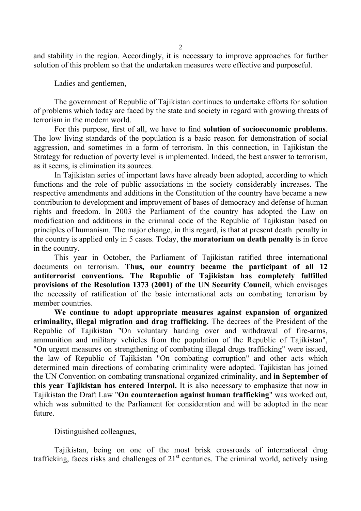and stability in the region. Accordingly, it is necessary to improve approaches for further solution of this problem so that the undertaken measures were effective and purposeful.

Ladies and gentlemen,

The government of Republic of Tajikistan continues to undertake efforts for solution of problems which today are faced by the state and society in regard with growing threats of terrorism in the modern world.

For this purpose, first of all, we have to find **solution of socioeconomic problems**. The low living standards of the population is a basic reason for demonstration of social aggression, and sometimes in a form of terrorism. In this connection, in Tajikistan the Strategy for reduction of poverty level is implemented. Indeed, the best answer to terrorism, as it seems, is elimination its sources.

In Tajikistan series of important laws have already been adopted, according to which functions and the role of public associations in the society considerably increases. The respective amendments and additions in the Constitution of the country have became a new contribution to development and improvement of bases of democracy and defense of human rights and freedom. In 2003 the Parliament of the country has adopted the Law on modification and additions in the criminal code of the Republic of Tajikistan based on principles of humanism. The major change, in this regard, is that at present death penalty in the country is applied only in 5 cases. Today, **the moratorium on death penalty** is in force in the country.

This year in October, the Parliament of Tajikistan ratified three international documents on terrorism. **Thus, our country became the participant of all 12 antiterrorist conventions. The Republic of Tajikistan has completely fulfilled provisions of the Resolution 1373 (2001) of the UN Security Council**, which envisages the necessity of ratification of the basic international acts on combating terrorism by member countries.

**We continue to adopt appropriate measures against expansion of organized criminality, illegal migration and drag trafficking.** The decrees of the President of the Republic of Tajikistan "On voluntary handing over and withdrawal of fire-arms, ammunition and military vehicles from the population of the Republic of Tajikistan", "On urgent measures on strengthening of combating illegal drugs trafficking" were issued, the law of Republic of Tajikistan "On combating corruption" and other acts which determined main directions of combating criminality were adopted. Tajikistan has joined the UN Convention on combating transnational organized criminality, and **in September of this year Tajikistan has entered Interpol.** It is also necessary to emphasize that now in Tajikistan the Draft Law "**On counteraction against human trafficking**" was worked out, which was submitted to the Parliament for consideration and will be adopted in the near future.

Distinguished colleagues,

Tajikistan, being on one of the most brisk crossroads of international drug trafficking, faces risks and challenges of  $21<sup>st</sup>$  centuries. The criminal world, actively using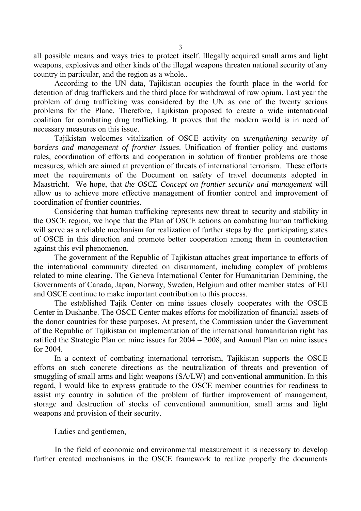all possible means and ways tries to protect itself. Illegally acquired small arms and light weapons, explosives and other kinds of the illegal weapons threaten national security of any country in particular, and the region as a whole..

According to the UN data, Tajikistan occupies the fourth place in the world for detention of drug traffickers and the third place for withdrawal of raw opium. Last year the problem of drug trafficking was considered by the UN as one of the twenty serious problems for the Plane. Therefore, Tajikistan proposed to create a wide international coalition for combating drug trafficking. It proves that the modern world is in need of necessary measures on this issue.

Tajikistan welcomes vitalization of OSCE activity on *strengthening security of borders and management of frontier issues*. Unification of frontier policy and customs rules, coordination of efforts and cooperation in solution of frontier problems are those measures, which are aimed at prevention of threats of international terrorism. These efforts meet the requirements of the Document on safety of travel documents adopted in Maastricht. We hope, that *the OSCE Concept on frontier security and management* will allow us to achieve more effective management of frontier control and improvement of coordination of frontier countries.

Considering that human trafficking represents new threat to security and stability in the OSCE region, we hope that the Plan of OSCE actions on combating human trafficking will serve as a reliable mechanism for realization of further steps by the participating states of OSCE in this direction and promote better cooperation among them in counteraction against this evil phenomenon.

The government of the Republic of Tajikistan attaches great importance to efforts of the international community directed on disarmament, including complex of problems related to mine clearing. The Geneva International Center for Humanitarian Demining, the Governments of Canada, Japan, Norway, Sweden, Belgium and other member states of EU and ОSCE continue to make important contribution to this process.

The established Tajik Center on mine issues closely cooperates with the OSCE Center in Dushanbe. The OSCE Center makes efforts for mobilization of financial assets of the donor countries for these purposes. At present, the Commission under the Government of the Republic of Tajikistan on implementation of the international humanitarian right has ratified the Strategic Plan on mine issues for 2004 – 2008, and Annual Plan on mine issues for 2004.

In a context of combating international terrorism, Tajikistan supports the OSCE efforts on such concrete directions as the neutralization of threats and prevention of smuggling of small arms and light weapons (SA/LW) and conventional ammunition. In this regard, I would like to express gratitude to the OSCE member countries for readiness to assist my country in solution of the problem of further improvement of management, storage and destruction of stocks of conventional ammunition, small arms and light weapons and provision of their security.

Ladies and gentlemen,

In the field of economic and environmental measurement it is necessary to develop further created mechanisms in the OSCE framework to realize properly the documents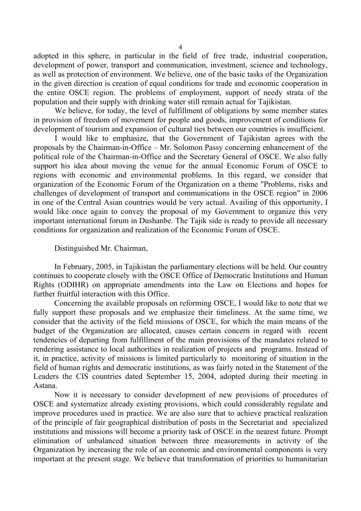adopted in this sphere, in particular in the field of free trade, industrial cooperation, development of power, transport and communication, investment, science and technology, as well as protection of environment. We believe, one of the basic tasks of the Organization in the given direction is creation of equal conditions for trade and economic cooperation in the entire OSCE region. The problems of employment, support of needy strata of the population and their supply with drinking water still remain actual for Tajikistan.

We believe, for today, the level of fulfillment of obligations by some member states in provision of freedom of movement for people and goods, improvement of conditions for development of tourism and expansion of cultural ties between our countries is insufficient.

I would like to emphasize, that the Government of Tajikistan agrees with the proposals by the Chairman-in-Office – Mr. Solomon Passy concerning enhancement of the political role of the Chairman-in-Office and the Secretary General of OSCE. We also fully support his idea about moving the venue for the annual Economic Forum of OSCE to regions with economic and environmental problems. In this regard, we consider that organization of the Economic Forum of the Organization on a theme "Problems, risks and challenges of development of transport and communications in the OSCE region" in 2006 in one of the Central Asian countries would be very actual. Availing of this opportunity, I would like once again to convey the proposal of my Government to organize this very important international forum in Dushanbe. The Tajik side is ready to provide all necessary conditions for organization and realization of the Economic Forum of OSCE.

## Distinguished Mr. Chairman,

In February, 2005, in Tajikistan the parliamentary elections will be held. Our country continues to cooperate closely with the OSCE Office of Democratic Institutions and Human Rights (ODIHR) on appropriate amendments into the Law on Elections and hopes for further fruitful interaction with this Office.

Concerning the available proposals on reforming OSCE, I would like to note that we fully support these proposals and we emphasize their timeliness. At the same time, we consider that the activity of the field missions of OSCE, for which the main means of the budget of the Organization are allocated, causes certain concern in regard with recent tendencies of departing from fulfillment of the main provisions of the mandates related to rendering assistance to local authorities in realization of projects and programs. Instead of it, in practice, activity of missions is limited particularly to monitoring of situation in the field of human rights and democratic institutions, as was fairly noted in the Statement of the Leaders the CIS countries dated September 15, 2004, adopted during their meeting in Astana.

Now it is necessary to consider development of new provisions of procedures of OSCE and systematize already existing provisions, which could considerably regulate and improve procedures used in practice. We are also sure that to achieve practical realization of the principle of fair geographical distribution of posts in the Secretariat and specialized institutions and missions will become a priority task of OSCE in the nearest future. Prompt elimination of unbalanced situation between three measurements in activity of the Organization by increasing the role of an economic and environmental components is very important at the present stage. We believe that transformation of priorities to humanitarian